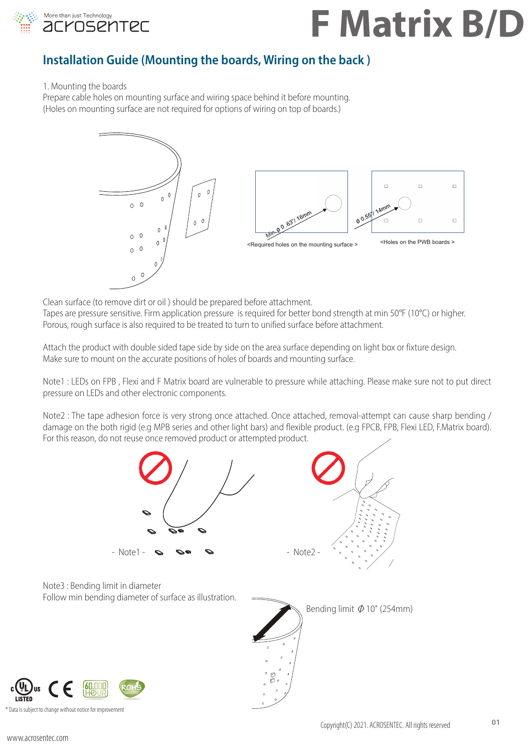

### **Installation Guide (Mounting the boards, Wiring on the back )**

1. Mounting the boards

Prepare cable holes on mounting surface and wiring space behind it before mounting. (Holes on mounting surface are not required for options of wiring on top of boards.)



Clean surface (to remove dirt or oil ) should be prepared before attachment. Tapes are pressure sensitive. Firm application pressure is required for better bond strength at min 50°F (10°C) or higher. Porous, rough surface is also required to be treated to turn to unified surface before attachment.

Attach the product with double sided tape side by side on the area surface depending on light box or fixture design. Make sure to mount on the accurate positions of holes of boards and mounting surface.

Note1 : LEDs on FPB , Flexi and F Matrix board are vulnerable to pressure while attaching. Please make sure not to put direct pressure on LEDs and other electronic components.

Note2 : The tape adhesion force is very strong once attached. Once attached, removal-attempt can cause sharp bending / damage on the both rigid (e.g MPB series and other light bars) and flexible product. (e.g FPCB, FPB, Flexi LED, F.Matrix board). For this reason, do not reuse once removed product or attempted product.

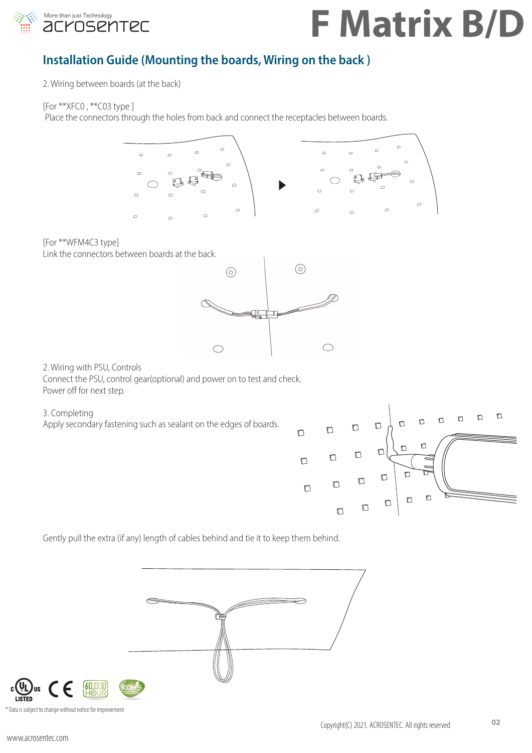

### **Installation Guide (Mounting the boards, Wiring on the back )**

2. Wiring between boards (at the back)

[For \*\*XFC0 , \*\*C03 type ]

Place the connectors through the holes from back and connect the receptacles between boards.





Gently pull the extra (if any) length of cables behind and tie it to keep them behind.



\* Data is subject to change without notice for improvement

**160,E**<br>1H©

Jus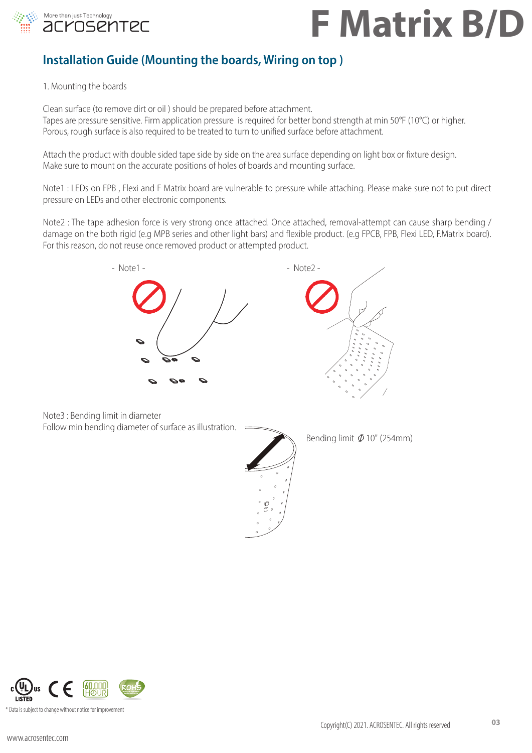

### **Installation Guide (Mounting the boards, Wiring on top)**

1. Mounting the boards

Clean surface (to remove dirt or oil ) should be prepared before attachment. Tapes are pressure sensitive. Firm application pressure is required for better bond strength at min 50°F (10°C) or higher. Porous, rough surface is also required to be treated to turn to unified surface before attachment.

Attach the product with double sided tape side by side on the area surface depending on light box or fixture design. Make sure to mount on the accurate positions of holes of boards and mounting surface.

Note1 : LEDs on FPB , Flexi and F Matrix board are vulnerable to pressure while attaching. Please make sure not to put direct pressure on LEDs and other electronic components.

Note2 : The tape adhesion force is very strong once attached. Once attached, removal-attempt can cause sharp bending / damage on the both rigid (e.g MPB series and other light bars) and flexible product. (e.g FPCB, FPB, Flexi LED, F.Matrix board). For this reason, do not reuse once removed product or attempted product.



Note3 : Bending limit in diameter Follow min bending diameter of surface as illustration.



Bending limit  $\Phi$  10" (254mm)

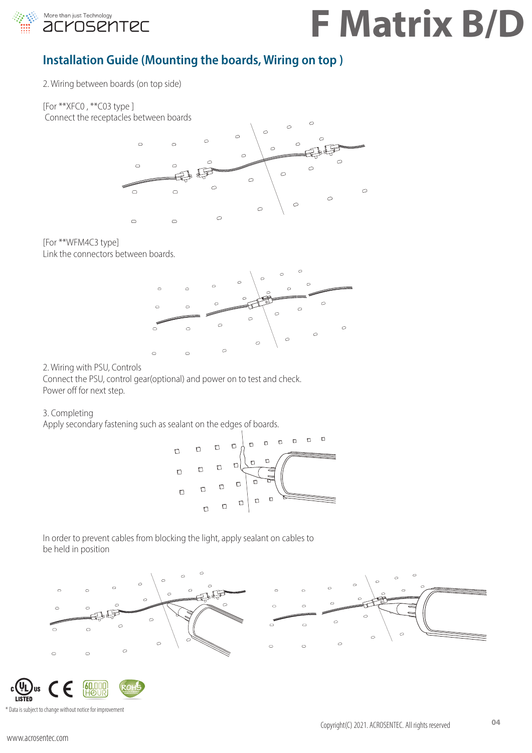

### **Installation Guide (Mounting the boards, Wiring on top )**

2. Wiring between boards (on top side)

[For \*\*XFC0 , \*\*C03 type ] Connect the receptacles between boards



[For \*\*WFM4C3 type] Link the connectors between boards.



2. Wiring with PSU, Controls

Connect the PSU, control gear(optional) and power on to test and check. Power off for next step.

#### 3. Completing

Apply secondary fastening such as sealant on the edges of boards.



In order to prevent cables from blocking the light, apply sealant on cables to be held in position





Copyright(C) 2021. ACROSENTEC. All rights reserved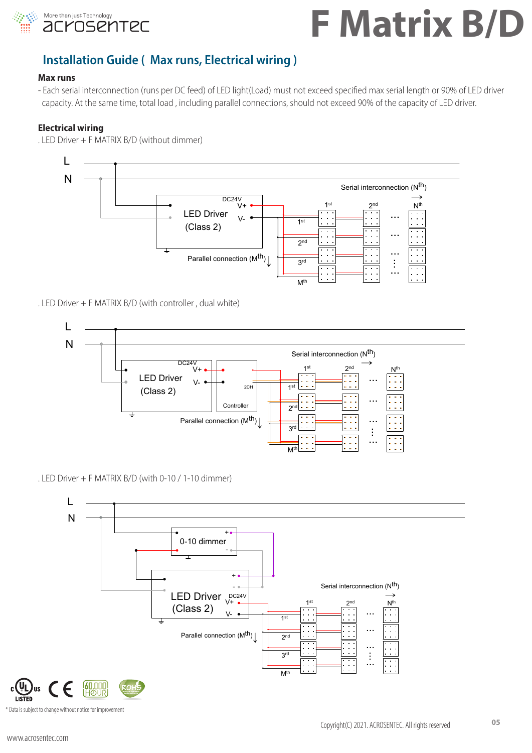

### **F Matrix B/D** Serial interconnection (Nth) L IMQI

### **Installation Guide (Max runs, Electrical wiring)**

#### **Max runs**

........<br>- Each serial interconnection (runs per DC feed) of LED light(Load) must not exceed specified max serial length or 90% of LED driver capacity. At the same time, total load , including parallel connections, should not exceed 90% of the capacity of LED driver. ... 3rd ...

#### **Electrical wiring**

. LED Driver + F MATRIX B/D (without dimmer)



#### . LED Driver + F MATRIX B/D (with controller , dual white)



. LED Driver  $+$  F MATRIX B/D (with 0-10 / 1-10 dimmer)

![](_page_4_Figure_11.jpeg)

\* Data is subject to change without notice for improvement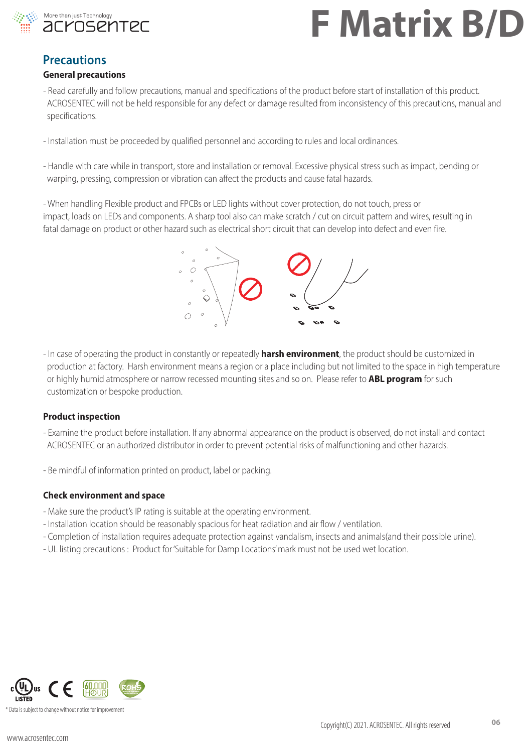![](_page_5_Picture_0.jpeg)

### **Precautions**

#### **General precautions**

- Read carefully and follow precautions, manual and specifications of the product before start of installation of this product. ACROSENTEC will not be held responsible for any defect or damage resulted from inconsistency of this precautions, manual and specifications.
- Installation must be proceeded by qualified personnel and according to rules and local ordinances.
- Handle with care while in transport, store and installation or removal. Excessive physical stress such as impact, bending or warping, pressing, compression or vibration can affect the products and cause fatal hazards.

- When handling Flexible product and FPCBs or LED lights without cover protection, do not touch, press or impact, loads on LEDs and components. A sharp tool also can make scratch / cut on circuit pattern and wires, resulting in fatal damage on product or other hazard such as electrical short circuit that can develop into defect and even fire.

![](_page_5_Figure_8.jpeg)

- In case of operating the product in constantly or repeatedly **harsh environment**, the product should be customized in production at factory. Harsh environment means a region or a place including but not limited to the space in high temperature or highly humid atmosphere or narrow recessed mounting sites and so on. Please refer to **ABL program** for such customization or bespoke production.

#### **Product inspection**

- Examine the product before installation. If any abnormal appearance on the product is observed, do not install and contact ACROSENTEC or an authorized distributor in order to prevent potential risks of malfunctioning and other hazards.
- Be mindful of information printed on product, label or packing.

#### **Check environment and space**

- Make sure the product's IP rating is suitable at the operating environment.
- Installation location should be reasonably spacious for heat radiation and air flow / ventilation.
- Completion of installation requires adequate protection against vandalism, insects and animals(and their possible urine).
- UL listing precautions : Product for 'Suitable for Damp Locations' mark must not be used wet location.

![](_page_5_Picture_18.jpeg)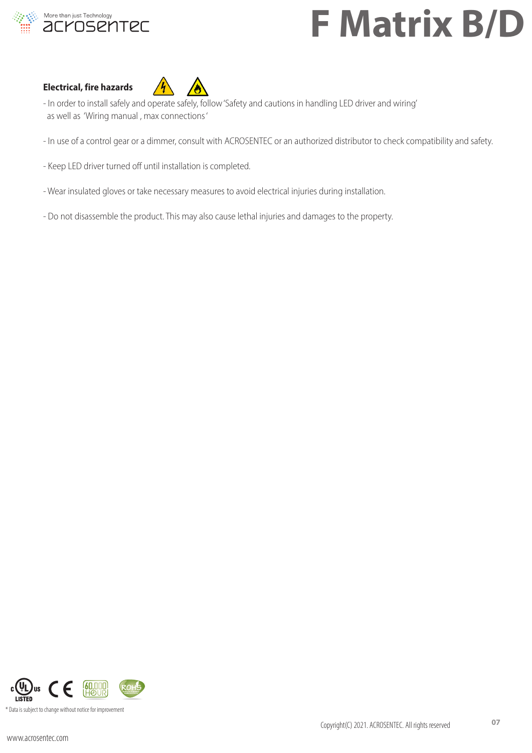![](_page_6_Picture_0.jpeg)

#### **Electrical, fire hazards**

![](_page_6_Picture_3.jpeg)

- In order to install safely and operate safely, follow 'Safety and cautions in handling LED driver and wiring' as well as 'Wiring manual , max connections '
- In use of a control gear or a dimmer, consult with ACROSENTEC or an authorized distributor to check compatibility and safety.
- Keep LED driver turned off until installation is completed.
- Wear insulated gloves or take necessary measures to avoid electrical injuries during installation.
- Do not disassemble the product. This may also cause lethal injuries and damages to the property.

![](_page_6_Picture_9.jpeg)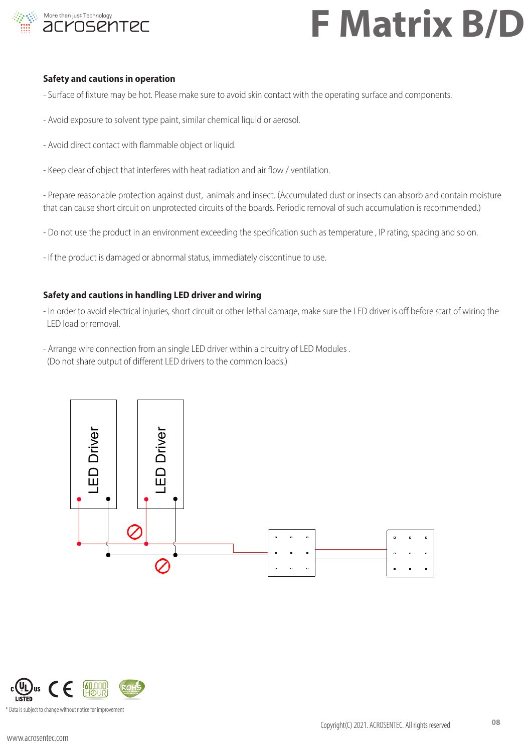![](_page_7_Picture_0.jpeg)

#### **Safety and cautions in operation**

- Surface of fixture may be hot. Please make sure to avoid skin contact with the operating surface and components.
- Avoid exposure to solvent type paint, similar chemical liquid or aerosol.
- Avoid direct contact with flammable object or liquid.
- Keep clear of object that interferes with heat radiation and air flow / ventilation.

- Prepare reasonable protection against dust, animals and insect. (Accumulated dust or insects can absorb and contain moisture that can cause short circuit on unprotected circuits of the boards. Periodic removal of such accumulation is recommended.)

- Do not use the product in an environment exceeding the specification such as temperature , IP rating, spacing and so on.
- If the product is damaged or abnormal status, immediately discontinue to use.

#### **Safety and cautions in handling LED driver and wiring**

- In order to avoid electrical injuries, short circuit or other lethal damage, make sure the LED driver is off before start of wiring the LED load or removal.
- Arrange wire connection from an single LED driver within a circuitry of LED Modules . (Do not share output of different LED drivers to the common loads.)

![](_page_7_Figure_13.jpeg)

![](_page_7_Picture_14.jpeg)